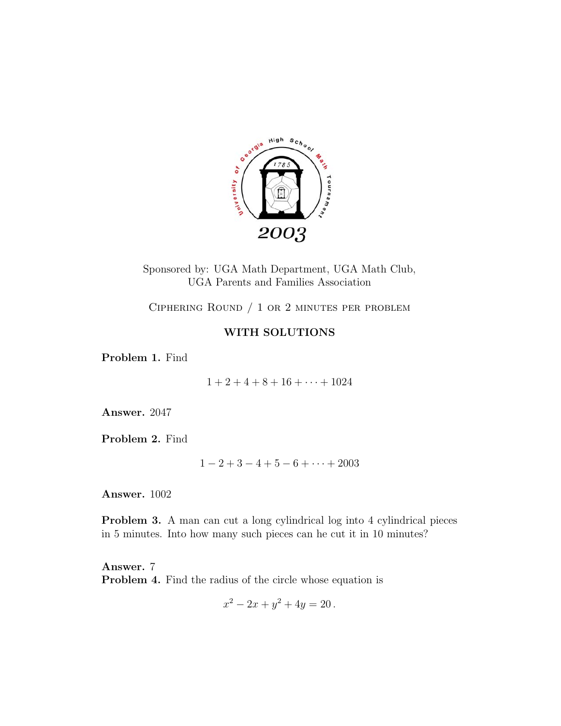

Sponsored by: UGA Math Department, UGA Math Club, UGA Parents and Families Association

Ciphering Round / 1 or 2 minutes per problem

## **WITH SOLUTIONS**

**Problem 1.** Find

 $1 + 2 + 4 + 8 + 16 + \cdots + 1024$ 

**Answer.** 2047

**Problem 2.** Find

 $1-2+3-4+5-6+\cdots+2003$ 

**Answer.** 1002

**Problem 3.** A man can cut a long cylindrical log into 4 cylindrical pieces in 5 minutes. Into how many such pieces can he cut it in 10 minutes?

**Answer.** 7 **Problem 4.** Find the radius of the circle whose equation is

$$
x^2 - 2x + y^2 + 4y = 20.
$$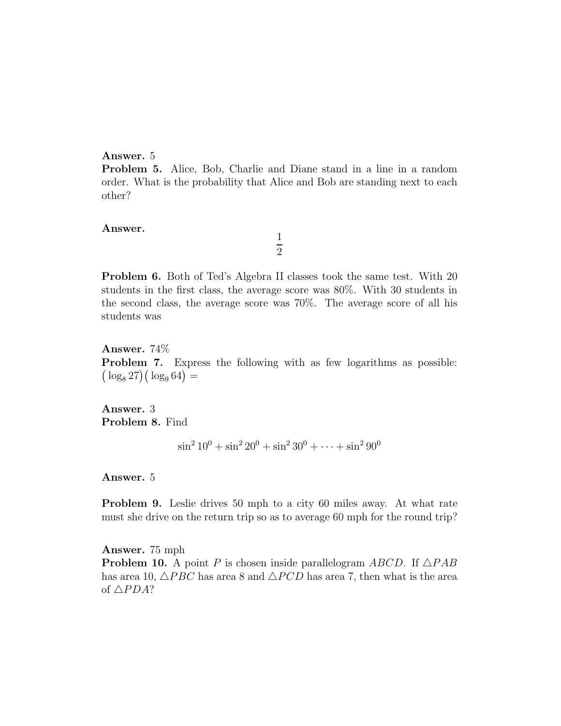## **Answer.** 5

**Problem 5.** Alice, Bob, Charlie and Diane stand in a line in a random order. What is the probability that Alice and Bob are standing next to each other?

> 1 2

## **Answer.**

**Problem 6.** Both of Ted's Algebra II classes took the same test. With 20 students in the first class, the average score was 80%. With 30 students in the second class, the average score was 70%. The average score of all his students was

**Answer.** 74% **Problem 7.** Express the following with as few logarithms as possible:  $(\log_8 27)(\log_9 64) =$ 

**Answer.** 3 **Problem 8.** Find

 $\sin^2 10^0 + \sin^2 20^0 + \sin^2 30^0 + \dots + \sin^2 90^0$ 

**Answer.** 5

**Problem 9.** Leslie drives 50 mph to a city 60 miles away. At what rate must she drive on the return trip so as to average 60 mph for the round trip?

**Answer.** 75 mph **Problem 10.** A point P is chosen inside parallelogram  $ABCD$ . If  $\triangle PAB$ has area 10,  $\triangle PBC$  has area 8 and  $\triangle PCD$  has area 7, then what is the area of  $\triangle PDA$ ?